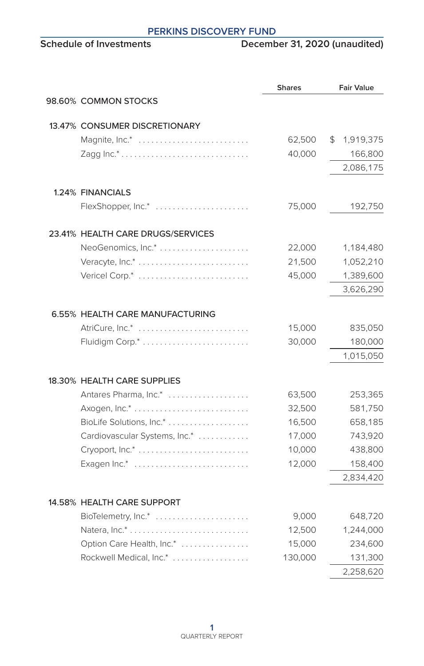## **PERKINS DISCOVERY FUND**<br>Schedule of Investments Decemb

### **December 31, 2020 (unaudited)**

|  |                                                      | <b>Shares</b>    | <b>Fair Value</b>    |
|--|------------------------------------------------------|------------------|----------------------|
|  | 98.60% COMMON STOCKS                                 |                  |                      |
|  | 13.47% CONSUMER DISCRETIONARY                        |                  |                      |
|  | Magnite, Inc.*                                       | 62,500           | \$1,919,375          |
|  |                                                      | 40,000           | 166,800              |
|  |                                                      |                  | 2,086,175            |
|  | 1.24% FINANCIALS                                     |                  |                      |
|  | FlexShopper, Inc.*                                   | 75,000           | 192,750              |
|  |                                                      |                  |                      |
|  | 23.41% HEALTH CARE DRUGS/SERVICES                    |                  |                      |
|  |                                                      | 22,000           | 1,184,480            |
|  |                                                      | 21,500           | 1,052,210            |
|  | Vericel Corp.*                                       | 45,000           | 1,389,600            |
|  |                                                      |                  | 3,626,290            |
|  | 6.55% HEALTH CARE MANUFACTURING                      |                  |                      |
|  | AtriCure, Inc.*                                      | 15,000           | 835,050              |
|  |                                                      | 30,000           | 180,000              |
|  |                                                      |                  | 1,015,050            |
|  | 18.30% HEALTH CARE SUPPLIES                          |                  |                      |
|  | Antares Pharma, Inc.*                                | 63,500           | 253,365              |
|  |                                                      | 32,500           | 581,750              |
|  |                                                      | 16,500           | 658,185              |
|  | Cardiovascular Systems, Inc.*                        | 17,000           | 743,920              |
|  |                                                      | 10,000           | 438,800              |
|  | Exagen Inc.*                                         | 12,000           | 158,400              |
|  |                                                      |                  | 2,834,420            |
|  | 14.58% HEALTH CARE SUPPORT                           |                  |                      |
|  |                                                      |                  |                      |
|  | BioTelemetry, Inc.*                                  | 9,000            | 648,720              |
|  |                                                      | 12,500<br>15,000 | 1,244,000<br>234,600 |
|  | Option Care Health, Inc.*<br>Rockwell Medical, Inc.* | 130,000          | 131,300              |
|  |                                                      |                  | 2,258,620            |
|  |                                                      |                  |                      |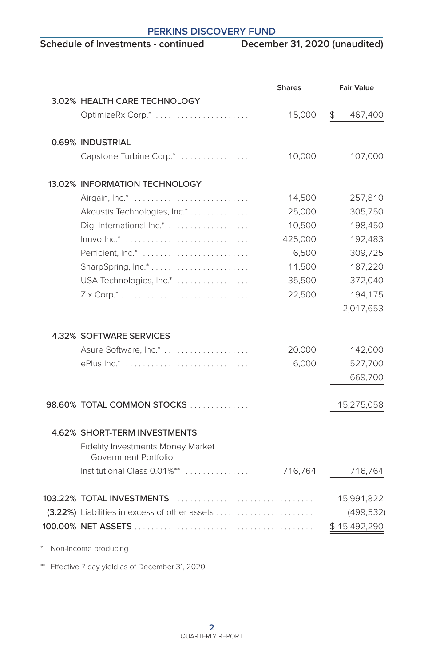# **PERKINS DISCOVERY FUND**<br>Schedule of Investments - continued Decemb

## **December 31, 2020 (unaudited)**

|                                                           | <b>Shares</b> | <b>Fair Value</b> |
|-----------------------------------------------------------|---------------|-------------------|
| 3.02% HEALTH CARE TECHNOLOGY                              |               |                   |
| OptimizeRx Corp.*                                         | 15,000        | \$<br>467,400     |
| 0.69% INDUSTRIAL                                          |               |                   |
| Capstone Turbine Corp.*                                   | 10,000        | 107,000           |
| 13.02% INFORMATION TECHNOLOGY                             |               |                   |
| Airgain, Inc.*                                            | 14,500        | 257,810           |
| Akoustis Technologies, Inc.*                              | 25,000        | 305,750           |
| Digi International Inc.*                                  | 10,500        | 198,450           |
| $lnuvo Inc.*$                                             | 425,000       | 192,483           |
| Perficient, Inc.*                                         | 6,500         | 309,725           |
|                                                           | 11,500        | 187,220           |
| USA Technologies, Inc.*                                   | 35,500        | 372,040           |
|                                                           | 22,500        | 194,175           |
|                                                           |               | 2,017,653         |
| 4.32% SOFTWARE SERVICES                                   |               |                   |
| Asure Software, Inc.*                                     | 20,000        | 142,000           |
| ePlus Inc.*                                               | 6,000         | 527,700           |
|                                                           |               | 669,700           |
| 98.60% TOTAL COMMON STOCKS                                |               | 15,275,058        |
| 4.62% SHORT-TERM INVESTMENTS                              |               |                   |
| Fidelity Investments Money Market<br>Government Portfolio |               |                   |
| Institutional Class 0.01%**                               | 716,764       | 716,764           |
|                                                           |               | 15,991,822        |
|                                                           |               | (499, 532)        |
|                                                           |               | \$15,492,290      |
| Non-income producing                                      |               |                   |

\*\* Effective 7 day yield as of December 31, 2020